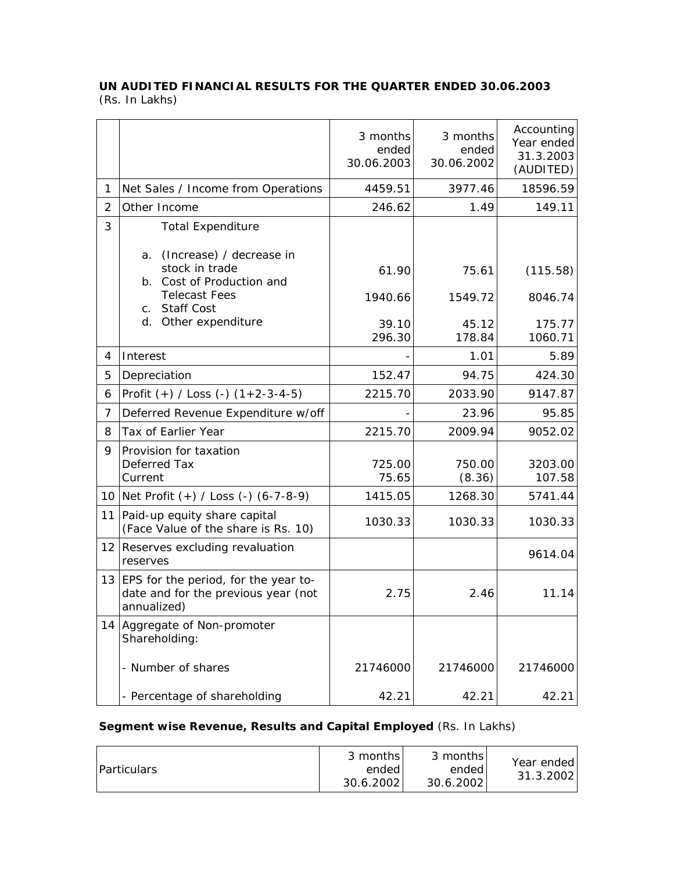## **UN AUDITED FINANCIAL RESULTS FOR THE QUARTER ENDED 30.06.2003**  (Rs. In Lakhs)

|                |                                                                                                                                                                  | 3 months<br>ended<br>30.06.2003 | 3 months<br>ended<br>30.06.2002 | Accounting<br>Year ended<br>31.3.2003<br>(AUDITED) |
|----------------|------------------------------------------------------------------------------------------------------------------------------------------------------------------|---------------------------------|---------------------------------|----------------------------------------------------|
| 1              | Net Sales / Income from Operations                                                                                                                               | 4459.51                         | 3977.46                         | 18596.59                                           |
| $\overline{2}$ | Other Income                                                                                                                                                     | 246.62                          | 1.49                            | 149.11                                             |
| 3              | <b>Total Expenditure</b>                                                                                                                                         |                                 |                                 |                                                    |
|                | (Increase) / decrease in<br>a.<br>stock in trade<br>b. Cost of Production and<br><b>Telecast Fees</b><br><b>Staff Cost</b><br>$C_{1}$<br>Other expenditure<br>d. | 61.90<br>1940.66<br>39.10       | 75.61<br>1549.72<br>45.12       | (115.58)<br>8046.74<br>175.77                      |
|                |                                                                                                                                                                  | 296.30                          | 178.84                          | 1060.71                                            |
| 4              | Interest                                                                                                                                                         |                                 | 1.01                            | 5.89                                               |
| 5              | Depreciation                                                                                                                                                     | 152.47                          | 94.75                           | 424.30                                             |
| 6              | Profit $(+)$ / Loss $(-)$ $(1+2-3-4-5)$                                                                                                                          | 2215.70                         | 2033.90                         | 9147.87                                            |
| $\overline{7}$ | Deferred Revenue Expenditure w/off                                                                                                                               |                                 | 23.96                           | 95.85                                              |
| 8              | Tax of Earlier Year                                                                                                                                              | 2215.70                         | 2009.94                         | 9052.02                                            |
| 9              | Provision for taxation<br>Deferred Tax<br>Current                                                                                                                | 725.00<br>75.65                 | 750.00<br>(8.36)                | 3203.00<br>107.58                                  |
| 10             | Net Profit (+) / Loss (-) (6-7-8-9)                                                                                                                              | 1415.05                         | 1268.30                         | 5741.44                                            |
| 11             | Paid-up equity share capital<br>(Face Value of the share is Rs. 10)                                                                                              | 1030.33                         | 1030.33                         | 1030.33                                            |
| 12             | Reserves excluding revaluation<br>reserves                                                                                                                       |                                 |                                 | 9614.04                                            |
|                | 13 EPS for the period, for the year to-<br>date and for the previous year (not<br>annualized)                                                                    | 2.75                            | 2.46                            | 11.14                                              |
|                | 14 Aggregate of Non-promoter<br>Shareholding:                                                                                                                    |                                 |                                 |                                                    |
|                | - Number of shares                                                                                                                                               | 21746000                        | 21746000                        | 21746000                                           |
|                | - Percentage of shareholding                                                                                                                                     | 42.21                           | 42.21                           | 42.21                                              |

## **Segment wise Revenue, Results and Capital Employed** (Rs. In Lakhs)

| <b>Particulars</b> | 3 months<br>ended<br>30.6.2002 | 3 months<br>ended<br>30.6.2002 | Year ended<br>31.3.2002 |
|--------------------|--------------------------------|--------------------------------|-------------------------|
|--------------------|--------------------------------|--------------------------------|-------------------------|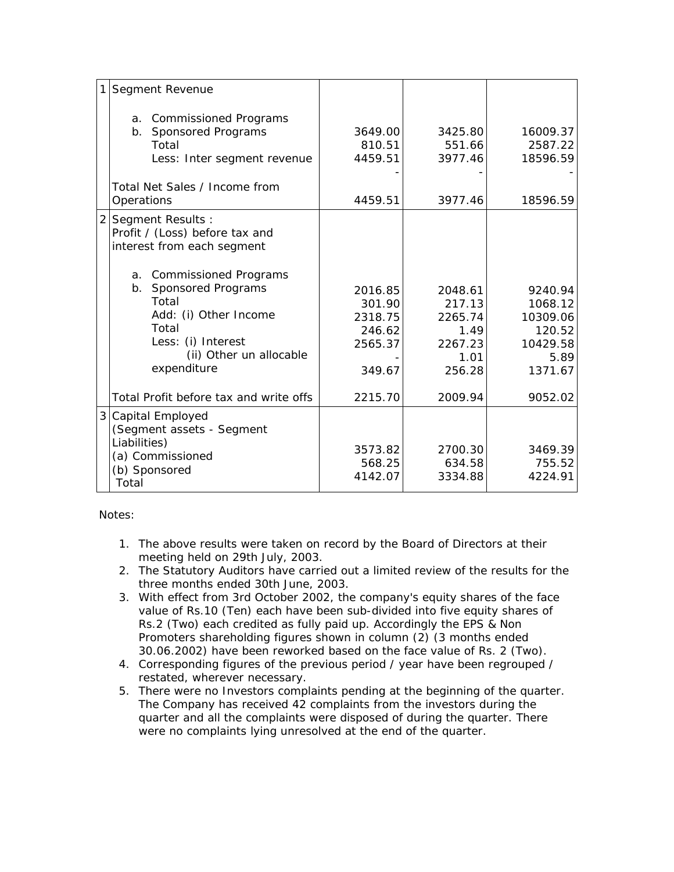| $\mathbf{1}$<br>Segment Revenue                                                                                                                              |                                                             |                                                                   |                                                                         |
|--------------------------------------------------------------------------------------------------------------------------------------------------------------|-------------------------------------------------------------|-------------------------------------------------------------------|-------------------------------------------------------------------------|
| a. Commissioned Programs<br>b. Sponsored Programs<br>Total<br>Less: Inter segment revenue                                                                    | 3649.00<br>810.51<br>4459.51                                | 3425.80<br>551.66<br>3977.46                                      | 16009.37<br>2587.22<br>18596.59                                         |
| Total Net Sales / Income from<br>Operations                                                                                                                  | 4459.51                                                     | 3977.46                                                           | 18596.59                                                                |
| 2 Segment Results :<br>Profit / (Loss) before tax and<br>interest from each segment                                                                          |                                                             |                                                                   |                                                                         |
| a. Commissioned Programs<br>b. Sponsored Programs<br>Total<br>Add: (i) Other Income<br>Total<br>Less: (i) Interest<br>(ii) Other un allocable<br>expenditure | 2016.85<br>301.90<br>2318.75<br>246.62<br>2565.37<br>349.67 | 2048.61<br>217.13<br>2265.74<br>1.49<br>2267.23<br>1.01<br>256.28 | 9240.94<br>1068.12<br>10309.06<br>120.52<br>10429.58<br>5.89<br>1371.67 |
| Total Profit before tax and write offs                                                                                                                       | 2215.70                                                     | 2009.94                                                           | 9052.02                                                                 |
| 3 Capital Employed<br>(Segment assets - Segment<br>Liabilities)<br>(a) Commissioned<br>(b) Sponsored<br>Total                                                | 3573.82<br>568.25<br>4142.07                                | 2700.30<br>634.58<br>3334.88                                      | 3469.39<br>755.52<br>4224.91                                            |

Notes:

- 1. The above results were taken on record by the Board of Directors at their meeting held on 29th July, 2003.
- 2. The Statutory Auditors have carried out a limited review of the results for the three months ended 30th June, 2003.
- 3. With effect from 3rd October 2002, the company's equity shares of the face value of Rs.10 (Ten) each have been sub-divided into five equity shares of Rs.2 (Two) each credited as fully paid up. Accordingly the EPS & Non Promoters shareholding figures shown in column (2) (3 months ended 30.06.2002) have been reworked based on the face value of Rs. 2 (Two).
- 4. Corresponding figures of the previous period / year have been regrouped / restated, wherever necessary.
- 5. There were no Investors complaints pending at the beginning of the quarter. The Company has received 42 complaints from the investors during the quarter and all the complaints were disposed of during the quarter. There were no complaints lying unresolved at the end of the quarter.